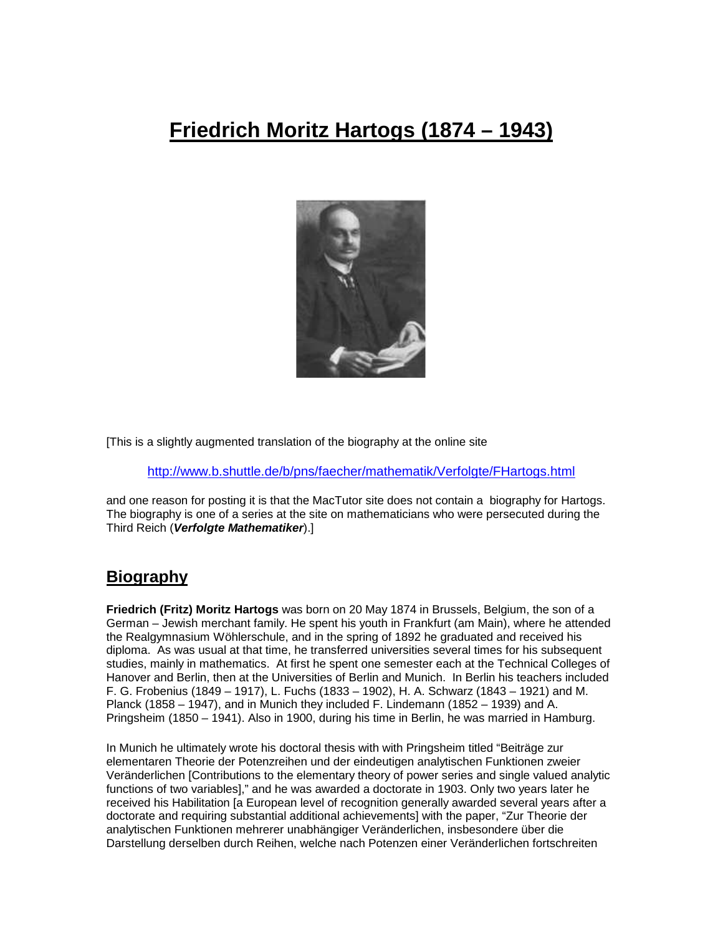# **Friedrich Moritz Hartogs (1874 – 1943)**



[This is a slightly augmented translation of the biography at the online site

http://www.b.shuttle.de/b/pns/faecher/mathematik/Verfolgte/FHartogs.html

and one reason for posting it is that the MacTutor site does not contain a biography for Hartogs. The biography is one of a series at the site on mathematicians who were persecuted during the Third Reich (**Verfolgte Mathematiker**).]

### **Biography**

**Friedrich (Fritz) Moritz Hartogs** was born on 20 May 1874 in Brussels, Belgium, the son of a German – Jewish merchant family. He spent his youth in Frankfurt (am Main), where he attended the Realgymnasium Wöhlerschule, and in the spring of 1892 he graduated and received his diploma. As was usual at that time, he transferred universities several times for his subsequent studies, mainly in mathematics. At first he spent one semester each at the Technical Colleges of Hanover and Berlin, then at the Universities of Berlin and Munich. In Berlin his teachers included F. G. Frobenius (1849 – 1917), L. Fuchs (1833 – 1902), H. A. Schwarz (1843 – 1921) and M. Planck (1858 – 1947), and in Munich they included F. Lindemann (1852 – 1939) and A. Pringsheim (1850 – 1941). Also in 1900, during his time in Berlin, he was married in Hamburg.

In Munich he ultimately wrote his doctoral thesis with with Pringsheim titled "Beiträge zur elementaren Theorie der Potenzreihen und der eindeutigen analytischen Funktionen zweier Veränderlichen [Contributions to the elementary theory of power series and single valued analytic functions of two variables]," and he was awarded a doctorate in 1903. Only two years later he received his Habilitation [a European level of recognition generally awarded several years after a doctorate and requiring substantial additional achievements] with the paper, "Zur Theorie der analytischen Funktionen mehrerer unabhängiger Veränderlichen, insbesondere über die Darstellung derselben durch Reihen, welche nach Potenzen einer Veränderlichen fortschreiten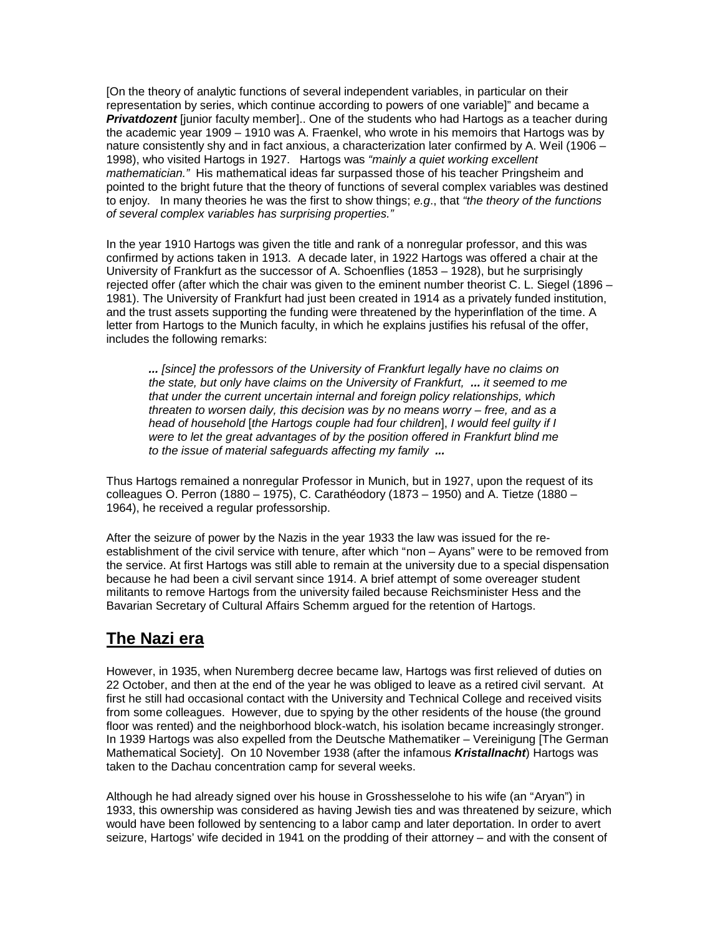[On the theory of analytic functions of several independent variables, in particular on their representation by series, which continue according to powers of one variable]" and became a **Privatdozent** liunior faculty member].. One of the students who had Hartogs as a teacher during the academic year 1909 – 1910 was A. Fraenkel, who wrote in his memoirs that Hartogs was by nature consistently shy and in fact anxious, a characterization later confirmed by A. Weil (1906 – 1998), who visited Hartogs in 1927. Hartogs was "mainly a quiet working excellent mathematician." His mathematical ideas far surpassed those of his teacher Pringsheim and pointed to the bright future that the theory of functions of several complex variables was destined to enjoy. In many theories he was the first to show things; e.g., that "the theory of the functions" of several complex variables has surprising properties."

In the year 1910 Hartogs was given the title and rank of a nonregular professor, and this was confirmed by actions taken in 1913. A decade later, in 1922 Hartogs was offered a chair at the University of Frankfurt as the successor of A. Schoenflies (1853 – 1928), but he surprisingly rejected offer (after which the chair was given to the eminent number theorist C. L. Siegel (1896 – 1981). The University of Frankfurt had just been created in 1914 as a privately funded institution, and the trust assets supporting the funding were threatened by the hyperinflation of the time. A letter from Hartogs to the Munich faculty, in which he explains justifies his refusal of the offer, includes the following remarks:

**...** [since] the professors of the University of Frankfurt legally have no claims on the state, but only have claims on the University of Frankfurt, **...** it seemed to me that under the current uncertain internal and foreign policy relationships, which threaten to worsen daily, this decision was by no means worry – free, and as a head of household [the Hartogs couple had four children], I would feel guilty if I were to let the great advantages of by the position offered in Frankfurt blind me to the issue of material safeguards affecting my family **...** 

Thus Hartogs remained a nonregular Professor in Munich, but in 1927, upon the request of its colleagues O. Perron (1880 – 1975), C. Carathéodory (1873 – 1950) and A. Tietze (1880 – 1964), he received a regular professorship.

After the seizure of power by the Nazis in the year 1933 the law was issued for the reestablishment of the civil service with tenure, after which "non – Ayans" were to be removed from the service. At first Hartogs was still able to remain at the university due to a special dispensation because he had been a civil servant since 1914. A brief attempt of some overeager student militants to remove Hartogs from the university failed because Reichsminister Hess and the Bavarian Secretary of Cultural Affairs Schemm argued for the retention of Hartogs.

## **The Nazi era**

However, in 1935, when Nuremberg decree became law, Hartogs was first relieved of duties on 22 October, and then at the end of the year he was obliged to leave as a retired civil servant. At first he still had occasional contact with the University and Technical College and received visits from some colleagues. However, due to spying by the other residents of the house (the ground floor was rented) and the neighborhood block-watch, his isolation became increasingly stronger. In 1939 Hartogs was also expelled from the Deutsche Mathematiker – Vereinigung [The German Mathematical Society]. On 10 November 1938 (after the infamous **Kristallnacht**) Hartogs was taken to the Dachau concentration camp for several weeks.

Although he had already signed over his house in Grosshesselohe to his wife (an "Aryan") in 1933, this ownership was considered as having Jewish ties and was threatened by seizure, which would have been followed by sentencing to a labor camp and later deportation. In order to avert seizure, Hartogs' wife decided in 1941 on the prodding of their attorney – and with the consent of